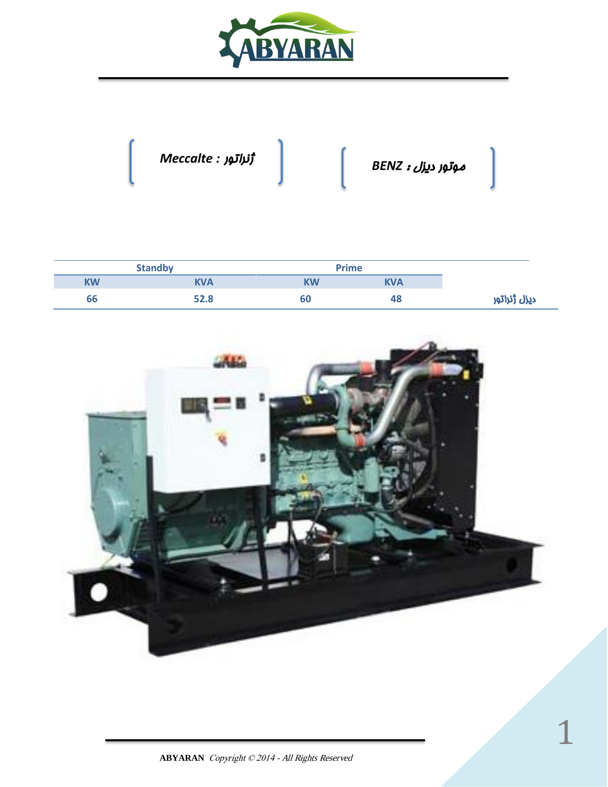



|    | <b>Standby</b> | <b>Prime</b> |     |
|----|----------------|--------------|-----|
| KW | <b>KVA</b>     | <b>KW</b>    | KVA |
| 66 | 52.8           | 60           | 48  |

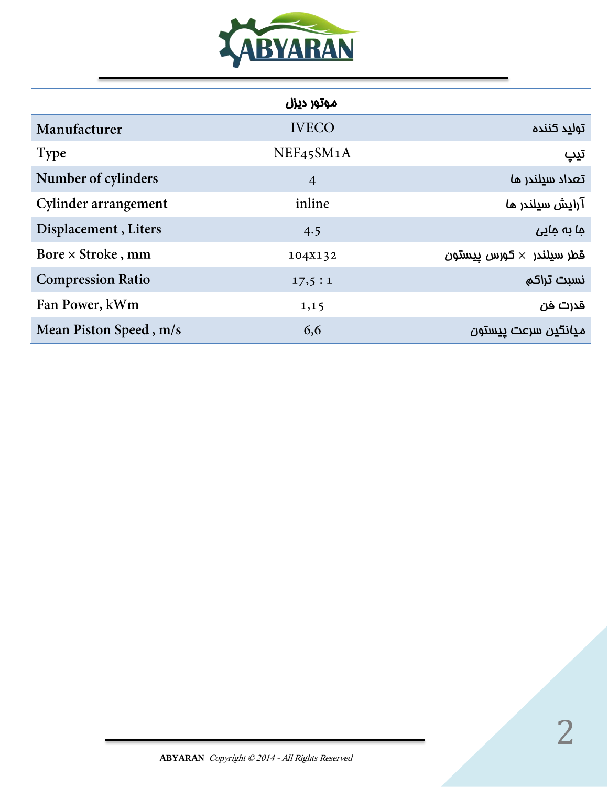

|                          | موتور ديزل     |                                   |
|--------------------------|----------------|-----------------------------------|
| Manufacturer             | <b>IVECO</b>   | توليد كننده                       |
| <b>Type</b>              | NEF45SM1A      | تيپ                               |
| Number of cylinders      | $\overline{4}$ | تعداد سيلندر ما                   |
| Cylinder arrangement     | inline         | آرایش سیلندر ما                   |
| Displacement, Liters     | 4.5            | جا بہ جاپے                        |
| Bore $\times$ Stroke, mm | 104X132        | قطر سيلندر  × كورس <u>يي</u> ستون |
| <b>Compression Ratio</b> | 17,5:1         | نسبت تراكم                        |
| Fan Power, kWm           | 1,15           | قدرت فن                           |
| Mean Piston Speed, m/s   | 6,6            | ميانگين سرعت ييستون               |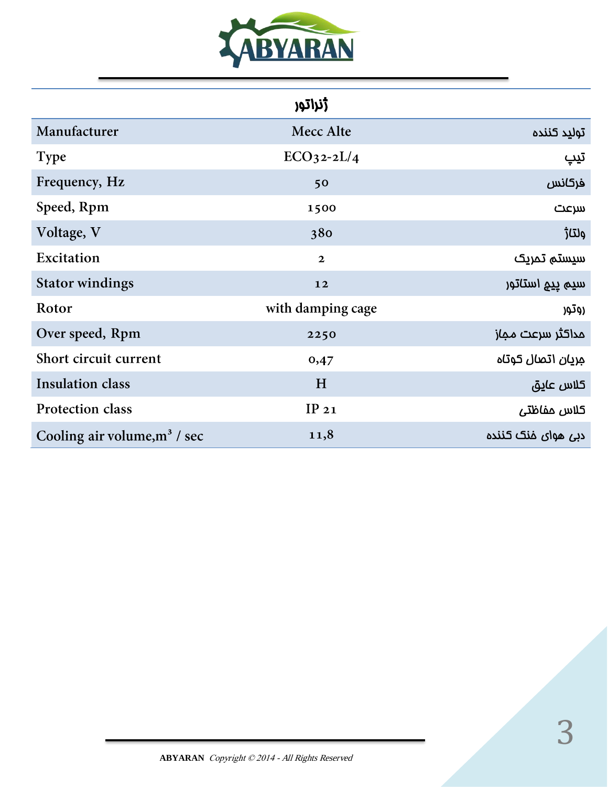

| <b>زنراتو</b> ,<br>v |  |  |
|----------------------|--|--|
|----------------------|--|--|

| Manufacturer                    | Mecc Alte         | توليد كننده        |
|---------------------------------|-------------------|--------------------|
| <b>Type</b>                     | $ECO32-2L/4$      | تيپ                |
| Frequency, Hz                   | 50                | فركانس             |
| Speed, Rpm                      | 1500              | سرعت               |
| Voltage, V                      | 380               | ولتا <del>ژ</del>  |
| Excitation                      | $\mathbf{2}$      | سيستم تمريک        |
| <b>Stator windings</b>          | 12                | سيم پي۾ استاتور    |
| Rotor                           | with damping cage | روتور              |
| Over speed, Rpm                 | 2250              | مداكثر سرعت مماز   |
| Short circuit current           | 0,47              |                    |
| <b>Insulation class</b>         | H                 | كلاس عايق          |
| Protection class                | IP21              | كلاس مفاظتى        |
| Cooling air volume, $m^3$ / sec | 11,8              | دبی هوای فنک کننده |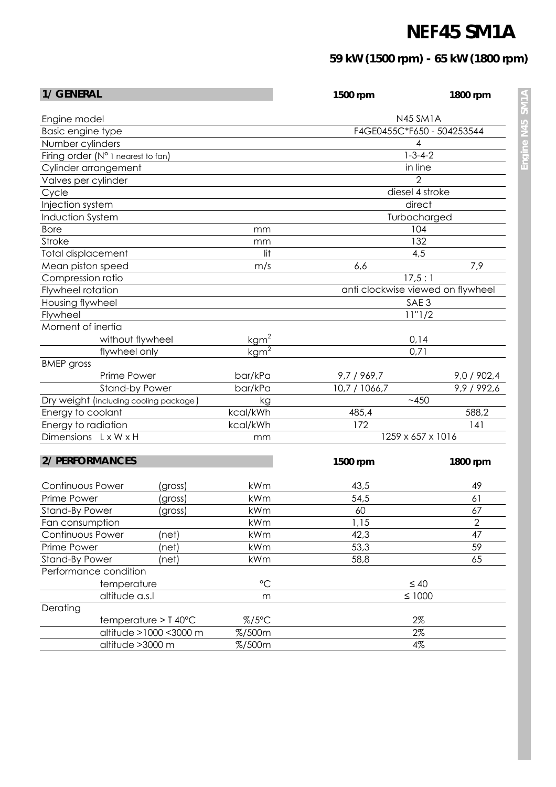## **NEF45 SM1A**

## **59 kW (1500 rpm) - 65 kW (1800 rpm)**

| <b>1/ GENERAL</b>                      |                               | 1500 rpm                            | 1800 rpm          |                                   |  |
|----------------------------------------|-------------------------------|-------------------------------------|-------------------|-----------------------------------|--|
| Engine model                           |                               |                                     | <b>N45 SM1A</b>   |                                   |  |
| Basic engine type                      |                               |                                     |                   | F4GE0455C*F650 - 504253544        |  |
| Number cylinders                       |                               |                                     |                   | 4                                 |  |
| Firing order (N° 1 nearest to fan)     |                               |                                     |                   | $1 - 3 - 4 - 2$                   |  |
| Cylinder arrangement                   |                               |                                     |                   | in line                           |  |
| Valves per cylinder                    |                               |                                     |                   | $\overline{2}$                    |  |
| Cycle                                  |                               |                                     | diesel 4 stroke   |                                   |  |
| Injection system                       |                               |                                     | direct            |                                   |  |
| <b>Induction System</b>                |                               |                                     | Turbocharged      |                                   |  |
| <b>Bore</b>                            |                               | mm                                  | 104               |                                   |  |
| <b>Stroke</b>                          |                               | mm                                  |                   | 132                               |  |
| <b>Total displacement</b>              |                               | lit                                 |                   | 4,5                               |  |
| Mean piston speed                      |                               | m/s                                 | 6,6               | 7,9                               |  |
| Compression ratio                      |                               |                                     |                   | 17,5:1                            |  |
| Flywheel rotation                      |                               |                                     |                   | anti clockwise viewed on flywheel |  |
| Housing flywheel                       |                               |                                     |                   | SAE <sub>3</sub>                  |  |
| Flywheel                               |                               |                                     |                   | 11"1/2                            |  |
| Moment of inertia                      |                               |                                     |                   |                                   |  |
| without flywheel                       |                               | kgm <sup>2</sup>                    |                   | 0,14                              |  |
| flywheel only                          |                               | $\frac{\text{kgm}^2}{\text{kgm}^2}$ |                   | 0,71                              |  |
| <b>BMEP</b> gross                      |                               |                                     |                   |                                   |  |
| Prime Power                            |                               | bar/kPa                             | 9,7 / 969,7       | 9,0 / 902,4                       |  |
| <b>Stand-by Power</b>                  |                               | bar/kPa                             | 10,7 / 1066,7     | 9,9 / 992,6                       |  |
| Dry weight (including cooling package) |                               | kg                                  | ~1450             |                                   |  |
| Energy to coolant                      |                               | kcal/kWh                            | 485,4             | 588,2                             |  |
| Energy to radiation                    |                               | kcal/kWh                            | 172               | 141                               |  |
| Dimensions LxWxH                       |                               | mm                                  | 1259 x 657 x 1016 |                                   |  |
|                                        |                               |                                     |                   |                                   |  |
| <b>2/ PERFORMANCES</b>                 |                               |                                     | 1500 rpm          | 1800 rpm                          |  |
| <b>Continuous Power</b>                | (gross)                       | kWm                                 | 43,5              | 49                                |  |
| Prime Power                            | (gross)                       | kWm                                 | 54,5              | 61                                |  |
| <b>Stand-By Power</b>                  | (gross)                       | kWm                                 | 60                | 67                                |  |
| Fan consumption                        |                               | kWm                                 | 1,15              | $\overline{2}$                    |  |
| Continuous Power                       | (net)                         | kWm                                 | 42,3              | 47                                |  |
| Prime Power                            | (net)                         | kWm                                 | 53,3              | 59                                |  |
| <b>Stand-By Power</b>                  | (net)                         | kWm                                 | 58,8              | 65                                |  |
| Performance condition                  |                               |                                     |                   |                                   |  |
| temperature                            |                               | $\rm ^{\circ}C$                     | $\leq 40$         |                                   |  |
| altitude a.s.l                         |                               | m                                   | $\leq 1000$       |                                   |  |
| Derating                               |                               |                                     |                   |                                   |  |
|                                        | $temperature > T 40^{\circ}C$ | $% / 5^{\circ}$ C                   |                   | 2%                                |  |
| altitude >1000 <3000 m                 |                               | %/500m                              |                   | 2%                                |  |
|                                        |                               | %/500m                              |                   | 4%                                |  |
| altitude >3000 m                       |                               |                                     |                   |                                   |  |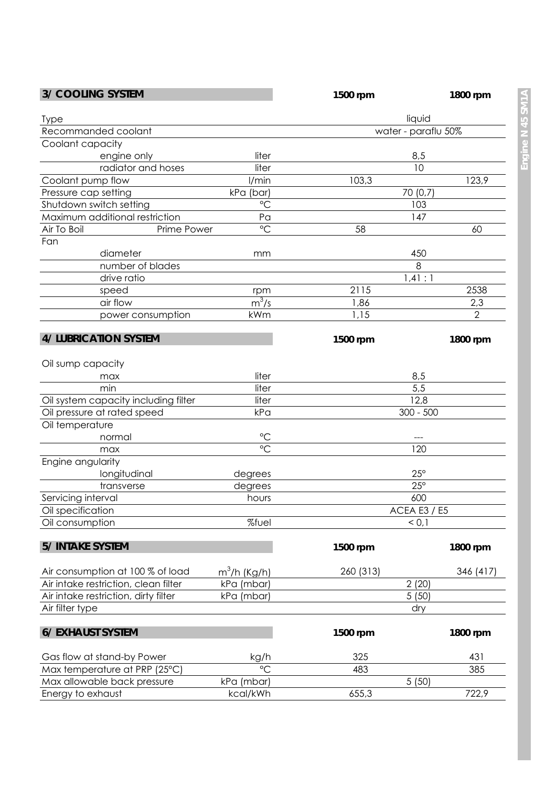| <b>3/ COOLING SYSTEM</b>             |                 | 1500 rpm                     | 1800 rpm            |  |
|--------------------------------------|-----------------|------------------------------|---------------------|--|
| <b>Type</b>                          |                 |                              | liquid              |  |
| Recommanded coolant                  |                 |                              | water - paraflu 50% |  |
| Coolant capacity                     |                 |                              |                     |  |
| engine only                          | liter           |                              |                     |  |
| radiator and hoses                   | liter           | 8,5<br>10                    |                     |  |
| Coolant pump flow                    | I/min           | 103,3                        | 123,9               |  |
| Pressure cap setting                 | kPa (bar)       |                              |                     |  |
| Shutdown switch setting              | $\rm ^{\circ}C$ | 70 (0,7)<br>103              |                     |  |
| Maximum additional restriction       | Pa              |                              | 147                 |  |
| Air To Boil<br>Prime Power           | $\rm ^{\circ}C$ | 58                           | 60                  |  |
|                                      |                 |                              |                     |  |
| Fan                                  |                 |                              |                     |  |
| diameter                             | mm              |                              | 450                 |  |
| number of blades                     |                 | 8<br>1,41:1                  |                     |  |
| drive ratio                          |                 |                              |                     |  |
| speed                                | rpm             | 2115                         | 2538                |  |
| air flow                             | $m^3/s$         | 1,86                         | 2,3                 |  |
| power consumption                    | kWm             | 1,15                         | $\overline{2}$      |  |
| <b>4/ LUBRICATION SYSTEM</b>         |                 | 1500 rpm                     | 1800 rpm            |  |
| Oil sump capacity                    |                 |                              |                     |  |
| max                                  | liter           |                              | 8,5                 |  |
| min                                  | liter           |                              | 5,5                 |  |
| Oil system capacity including filter | liter           | 12,8                         |                     |  |
| Oil pressure at rated speed          | kPa             | $300 - 500$                  |                     |  |
| Oil temperature                      |                 |                              |                     |  |
| normal                               | $\rm ^{\circ}C$ |                              |                     |  |
| max                                  | $\rm ^{\circ}C$ |                              | 120                 |  |
| Engine angularity                    |                 |                              |                     |  |
| longitudinal                         | degrees         |                              |                     |  |
| transverse                           | degrees         | $25^{\circ}$<br>$25^{\circ}$ |                     |  |
| Servicing interval                   | hours           | 600                          |                     |  |
| Oil specification                    |                 |                              |                     |  |
| Oil consumption                      | %fuel           | <b>ACEA E3 / E5</b><br>< 0,1 |                     |  |
|                                      |                 |                              |                     |  |
| <b>5/ INTAKE SYSTEM</b>              |                 | 1500 rpm                     | 1800 rpm            |  |
| Air consumption at 100 % of load     | $m^3/h$ (Kg/h)  | 260 (313)                    | 346 (417)           |  |
| Air intake restriction, clean filter | kPa (mbar)      |                              | 2(20)               |  |
| Air intake restriction, dirty filter | kPa (mbar)      | 5(50)                        |                     |  |
| Air filter type                      |                 |                              | dry                 |  |
|                                      |                 |                              |                     |  |
| <b>6/ EXHAUST SYSTEM</b>             |                 | 1500 rpm                     | 1800 rpm            |  |
| Gas flow at stand-by Power           | kg/h            | 325                          | 431                 |  |
| Max temperature at PRP (25°C)        | $^{\circ}C$     | 483                          | 385                 |  |
| Max allowable back pressure          | kPa (mbar)      | 5(50)                        |                     |  |
| Energy to exhaust                    | kcal/kWh        | 655,3                        | 722,9               |  |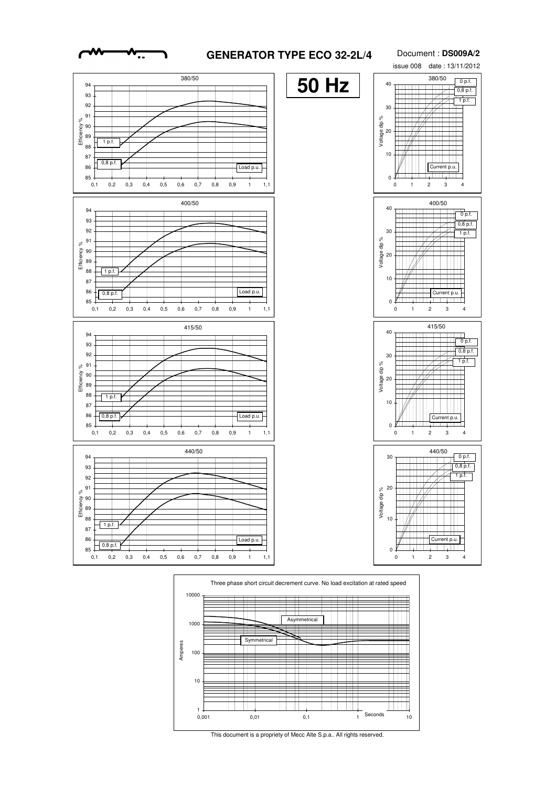## **GENERATOR TYPE ECO 32-2L/4**

Document : **DS009A/2**





This document is a propriety of Mecc Alte S.p.a.. All rights reserved.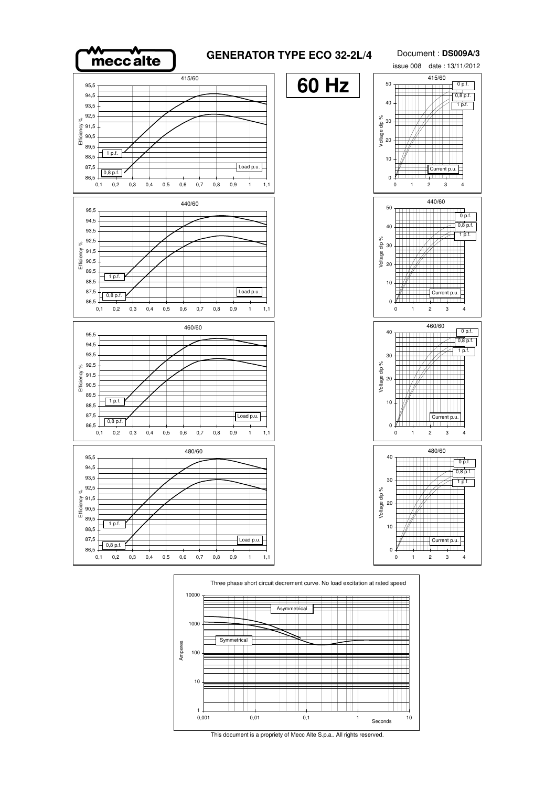



This document is a propriety of Mecc Alte S.p.a.. All rights reserved.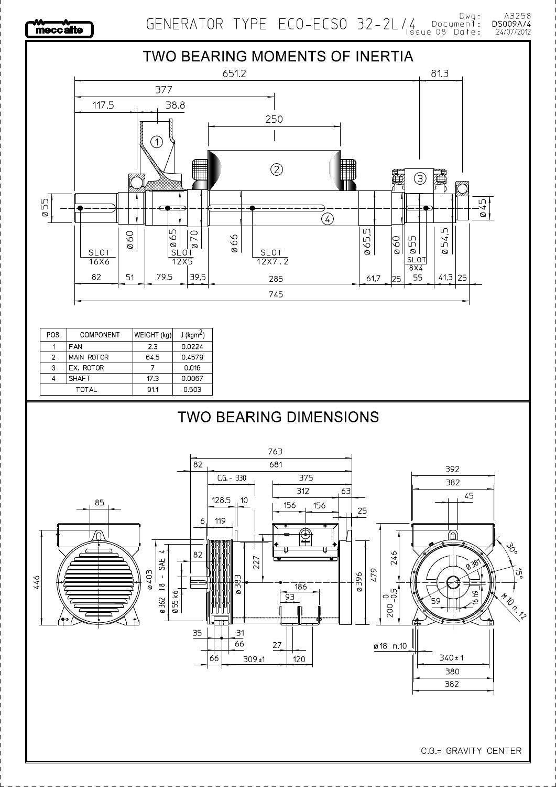